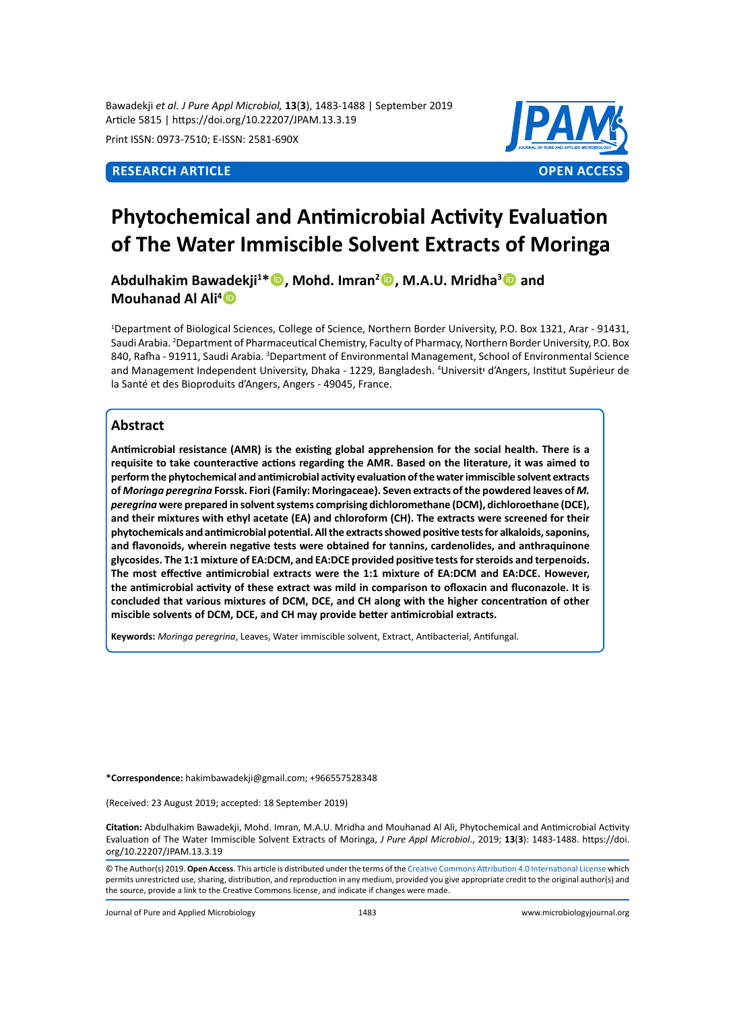Bawadekji *et al. J Pure Appl Microbiol,* **13**(**3**), 1483-1488 | September 2019 Article 5815 | https://doi.org/10.22207/JPAM.13.3.19

Print ISSN: 0973-7510; E-ISSN: 2581-690X



# **Phytochemical and Antimicrobial Activity Evaluation of The Water Immiscible Solvent Extracts of Moringa**

**Abdulhakim Bawadekji<sup>1</sup> \*, Mohd. Imran<sup>2</sup> , M.A.U. Mridha<sup>3</sup> and Mouhanad Al Ali<sup>4</sup>**

1 Department of Biological Sciences, College of Science, Northern Border University, P.O. Box 1321, Arar - 91431, Saudi Arabia. 2 Department of Pharmaceutical Chemistry, Faculty of Pharmacy, Northern Border University, P.O. Box 840, Rafha - 91911, Saudi Arabia. <sup>3</sup>Department of Environmental Management, School of Environmental Science and Management Independent University, Dhaka - 1229, Bangladesh. <sup>4</sup>Universit<sup>,</sup> d'Angers, Institut Supérieur de la Santé et des Bioproduits d'Angers, Angers - 49045, France.

# **Abstract**

**Antimicrobial resistance (AMR) is the existing global apprehension for the social health. There is a requisite to take counteractive actions regarding the AMR. Based on the literature, it was aimed to perform the phytochemical and antimicrobial activity evaluation of the water immiscible solvent extracts of** *Moringa peregrina* **Forssk. Fiori (Family: Moringaceae). Seven extracts of the powdered leaves of** *M. peregrina* **were prepared in solvent systems comprising dichloromethane (DCM), dichloroethane (DCE), and their mixtures with ethyl acetate (EA) and chloroform (CH). The extracts were screened for their phytochemicals and antimicrobial potential. All the extracts showed positive tests for alkaloids, saponins, and flavonoids, wherein negative tests were obtained for tannins, cardenolides, and anthraquinone glycosides. The 1:1 mixture of EA:DCM, and EA:DCE provided positive tests for steroids and terpenoids. The most effective antimicrobial extracts were the 1:1 mixture of EA:DCM and EA:DCE. However, the antimicrobial activity of these extract was mild in comparison to ofloxacin and fluconazole. It is concluded that various mixtures of DCM, DCE, and CH along with the higher concentration of other miscible solvents of DCM, DCE, and CH may provide better antimicrobial extracts.**

**Keywords:** *Moringa peregrina*, Leaves, Water immiscible solvent, Extract, Antibacterial, Antifungal.

**\*Correspondence:** hakimbawadekji@gmail.com; +966557528348

(Received: 23 August 2019; accepted: 18 September 2019)

**Citation:** Abdulhakim Bawadekji, Mohd. Imran, M.A.U. Mridha and Mouhanad Al Ali, Phytochemical and Antimicrobial Activity Evaluation of The Water Immiscible Solvent Extracts of Moringa, *J Pure Appl Microbiol*., 2019; **13**(**3**): 1483-1488. https://doi. org/10.22207/JPAM.13.3.19

© The Author(s) 2019. **Open Access**. This article is distributed under the terms of the [Creative Commons Attribution 4.0 International License](https://creativecommons.org/licenses/by/4.0/) which permits unrestricted use, sharing, distribution, and reproduction in any medium, provided you give appropriate credit to the original author(s) and the source, provide a link to the Creative Commons license, and indicate if changes were made.

Journal of Pure and Applied Microbiology 1483 www.microbiologyjournal.org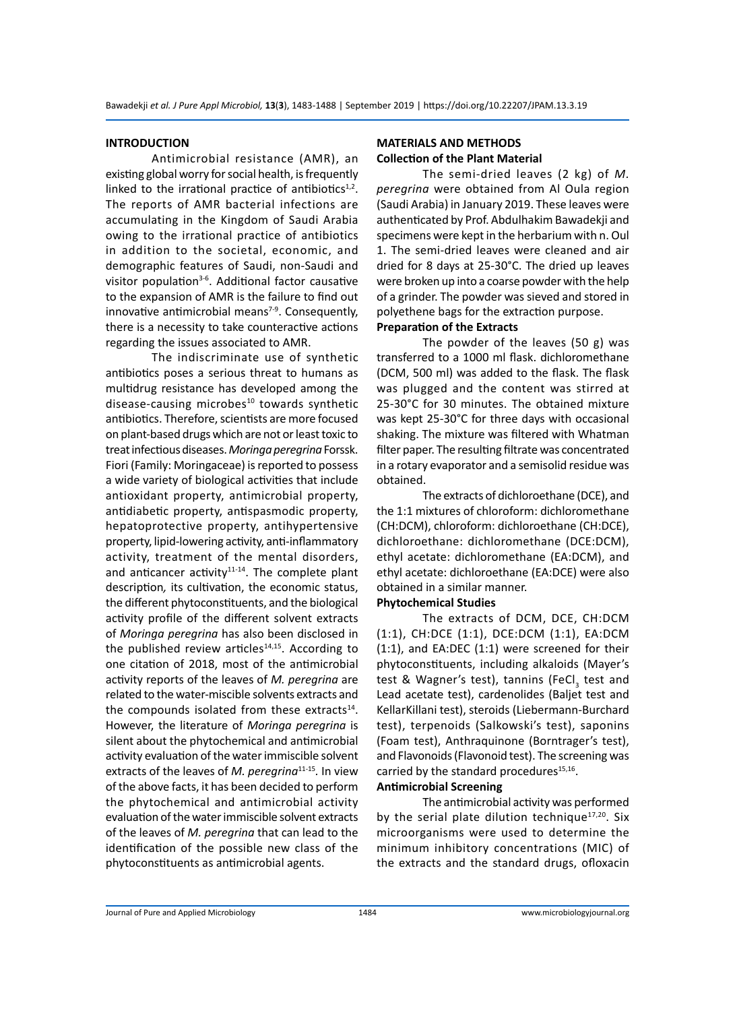#### **INTRODUCTION**

Antimicrobial resistance (AMR), an existing global worry for social health, is frequently linked to the irrational practice of antibiotics $1,2$ . The reports of AMR bacterial infections are accumulating in the Kingdom of Saudi Arabia owing to the irrational practice of antibiotics in addition to the societal, economic, and demographic features of Saudi, non-Saudi and visitor population $3-6$ . Additional factor causative to the expansion of AMR is the failure to find out innovative antimicrobial means $7-9$ . Consequently, there is a necessity to take counteractive actions regarding the issues associated to AMR.

The indiscriminate use of synthetic antibiotics poses a serious threat to humans as multidrug resistance has developed among the disease-causing microbes $10$  towards synthetic antibiotics. Therefore, scientists are more focused on plant-based drugs which are not or least toxic to treat infectious diseases. *Moringa peregrina* Forssk. Fiori (Family: Moringaceae) is reported to possess a wide variety of biological activities that include antioxidant property, antimicrobial property, antidiabetic property, antispasmodic property, hepatoprotective property, antihypertensive property, lipid-lowering activity, anti-inflammatory activity, treatment of the mental disorders, and anticancer activity $11-14$ . The complete plant description*,* its cultivation, the economic status, the different phytoconstituents, and the biological activity profile of the different solvent extracts of *Moringa peregrina* has also been disclosed in the published review articles $14,15$ . According to one citation of 2018, most of the antimicrobial activity reports of the leaves of *M. peregrina* are related to the water-miscible solvents extracts and the compounds isolated from these extracts $14$ . However, the literature of *Moringa peregrina* is silent about the phytochemical and antimicrobial activity evaluation of the water immiscible solvent extracts of the leaves of *M. peregrina*11-15*.* In view of the above facts, it has been decided to perform the phytochemical and antimicrobial activity evaluation of the water immiscible solvent extracts of the leaves of *M. peregrina* that can lead to the identification of the possible new class of the phytoconstituents as antimicrobial agents.

# **MATERIALS AND METHODS Collection of the Plant Material**

The semi-dried leaves (2 kg) of *M. peregrina* were obtained from Al Oula region (Saudi Arabia) in January 2019. These leaves were authenticated by Prof. Abdulhakim Bawadekji and specimens were kept in the herbarium with n. Oul 1. The semi-dried leaves were cleaned and air dried for 8 days at 25-30°C. The dried up leaves were broken up into a coarse powder with the help of a grinder. The powder was sieved and stored in polyethene bags for the extraction purpose.

### **Preparation of the Extracts**

The powder of the leaves (50 g) was transferred to a 1000 ml flask. dichloromethane (DCM, 500 ml) was added to the flask. The flask was plugged and the content was stirred at 25-30°C for 30 minutes. The obtained mixture was kept 25-30°C for three days with occasional shaking. The mixture was filtered with Whatman filter paper. The resulting filtrate was concentrated in a rotary evaporator and a semisolid residue was obtained.

The extracts of dichloroethane (DCE), and the 1:1 mixtures of chloroform: dichloromethane (CH:DCM), chloroform: dichloroethane (CH:DCE), dichloroethane: dichloromethane (DCE:DCM), ethyl acetate: dichloromethane (EA:DCM), and ethyl acetate: dichloroethane (EA:DCE) were also obtained in a similar manner.

# **Phytochemical Studies**

The extracts of DCM, DCE, CH:DCM (1:1), CH:DCE (1:1), DCE:DCM (1:1), EA:DCM (1:1), and EA:DEC (1:1) were screened for their phytoconstituents, including alkaloids (Mayer's test & Wagner's test), tannins (FeCl<sub>3</sub> test and Lead acetate test), cardenolides (Baljet test and KellarKillani test), steroids (Liebermann-Burchard test), terpenoids (Salkowski's test), saponins (Foam test), Anthraquinone (Borntrager's test), and Flavonoids (Flavonoid test). The screening was carried by the standard procedures $15,16$ .

#### **Antimicrobial Screening**

The antimicrobial activity was performed by the serial plate dilution technique<sup>17,20</sup>. Six microorganisms were used to determine the minimum inhibitory concentrations (MIC) of the extracts and the standard drugs, ofloxacin

Journal of Pure and Applied Microbiology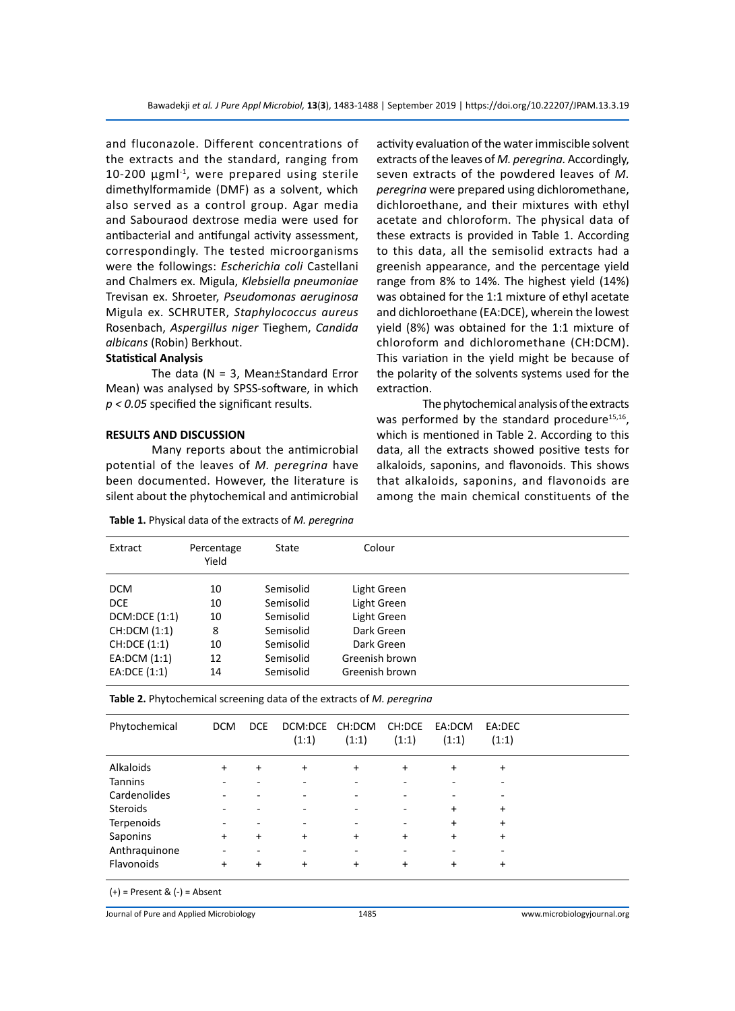and fluconazole. Different concentrations of the extracts and the standard, ranging from  $10-200$  µgm $1<sup>-1</sup>$ , were prepared using sterile dimethylformamide (DMF) as a solvent, which also served as a control group. Agar media and Sabouraod dextrose media were used for antibacterial and antifungal activity assessment, correspondingly. The tested microorganisms were the followings: *Escherichia coli* Castellani and Chalmers ex. Migula, *Klebsiella pneumoniae*  Trevisan ex. Shroeter, *Pseudomonas aeruginosa*  Migula ex. SCHRUTER, *Staphylococcus aureus* Rosenbach, *Aspergillus niger* Tieghem, *Candida albicans* (Robin) Berkhout.

# **Statistical Analysis**

The data ( $N = 3$ , Mean±Standard Error Mean) was analysed by SPSS-software, in which *p < 0.05* specified the significant results.

#### **RESULTS AND DISCUSSION**

Many reports about the antimicrobial potential of the leaves of *M. peregrina* have been documented. However, the literature is silent about the phytochemical and antimicrobial

**Table 1.** Physical data of the extracts of *M. peregrina*

activity evaluation of the water immiscible solvent extracts of the leaves of *M. peregrina.* Accordingly, seven extracts of the powdered leaves of *M. peregrina* were prepared using dichloromethane, dichloroethane, and their mixtures with ethyl acetate and chloroform. The physical data of these extracts is provided in Table 1. According to this data, all the semisolid extracts had a greenish appearance, and the percentage yield range from 8% to 14%. The highest yield (14%) was obtained for the 1:1 mixture of ethyl acetate and dichloroethane (EA:DCE), wherein the lowest yield (8%) was obtained for the 1:1 mixture of chloroform and dichloromethane (CH:DCM). This variation in the yield might be because of the polarity of the solvents systems used for the extraction.

The phytochemical analysis of the extracts was performed by the standard procedure $15,16$ , which is mentioned in Table 2. According to this data, all the extracts showed positive tests for alkaloids, saponins, and flavonoids. This shows that alkaloids, saponins, and flavonoids are among the main chemical constituents of the

| Extract       | Percentage<br>Yield | State     | Colour         |  |
|---------------|---------------------|-----------|----------------|--|
| <b>DCM</b>    | 10                  | Semisolid | Light Green    |  |
| <b>DCE</b>    | 10                  | Semisolid | Light Green    |  |
| DCM:DCE (1:1) | 10                  | Semisolid | Light Green    |  |
| CH:DCM (1:1)  | 8                   | Semisolid | Dark Green     |  |
| CH:DCE (1:1)  | 10                  | Semisolid | Dark Green     |  |
| EA:DCM (1:1)  | 12                  | Semisolid | Greenish brown |  |
| EA:DCE (1:1)  | 14                  | Semisolid | Greenish brown |  |

**Table 2.** Phytochemical screening data of the extracts of *M. peregrina*

| Phytochemical   | <b>DCM</b> | <b>DCE</b> | DCM:DCE CH:DCM<br>(1:1) | (1:1)     | CH:DCE<br>(1:1) | EA:DCM<br>(1:1) | EA:DEC<br>(1:1) |
|-----------------|------------|------------|-------------------------|-----------|-----------------|-----------------|-----------------|
| Alkaloids       | $\ddot{}$  | $\ddot{}$  | $\ddot{}$               | $\ddot{}$ | $\ddot{}$       | $\ddot{}$       | +               |
| <b>Tannins</b>  |            |            |                         |           |                 |                 |                 |
| Cardenolides    |            |            |                         |           |                 | ٠               |                 |
| <b>Steroids</b> |            |            |                         |           | ۰               | $\ddot{}$       | $\ddot{}$       |
| Terpenoids      |            |            |                         | ۰         | ۰               | $\ddot{}$       | $\ddot{}$       |
| Saponins        | $+$        | $+$        | +                       | $\ddot{}$ | $+$             | $\ddot{}$       | $\ddot{}$       |
| Anthraquinone   | ۰          | ۰          | ٠                       | ۰         | ۰               | ۰               | ۰               |
| Flavonoids      | +          | $\ddot{}$  | +                       | +         | $\ddot{}$       | $\ddot{}$       | $\ddot{}$       |

 $(+)$  = Present &  $(-)$  = Absent

Journal of Pure and Applied Microbiology 1485 www.microbiologyjournal.org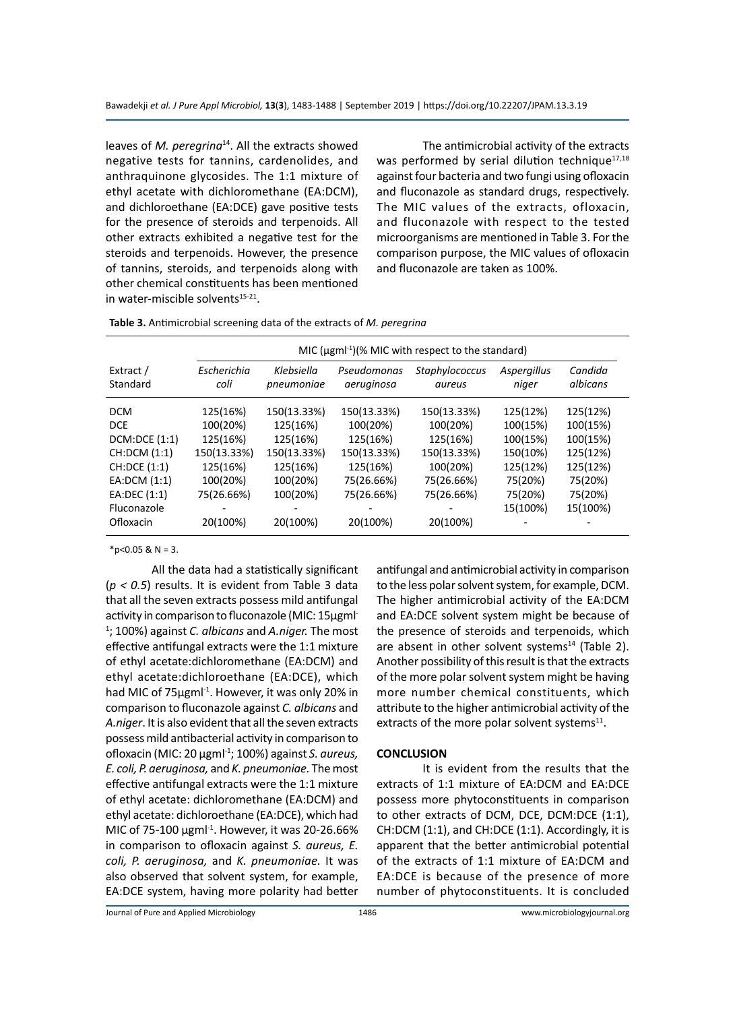leaves of *M. peregrina*<sup>14</sup>. All the extracts showed negative tests for tannins, cardenolides, and anthraquinone glycosides. The 1:1 mixture of ethyl acetate with dichloromethane (EA:DCM), and dichloroethane (EA:DCE) gave positive tests for the presence of steroids and terpenoids. All other extracts exhibited a negative test for the steroids and terpenoids. However, the presence of tannins, steroids, and terpenoids along with other chemical constituents has been mentioned in water-miscible solvents<sup>15-21</sup>.

The antimicrobial activity of the extracts was performed by serial dilution technique $17,18$ against four bacteria and two fungi using ofloxacin and fluconazole as standard drugs, respectively. The MIC values of the extracts, ofloxacin, and fluconazole with respect to the tested microorganisms are mentioned in Table 3. For the comparison purpose, the MIC values of ofloxacin and fluconazole are taken as 100%.

|                       |                     | MIC ( $\mu$ gml <sup>-1</sup> )(% MIC with respect to the standard) |                           |                          |                      |                     |
|-----------------------|---------------------|---------------------------------------------------------------------|---------------------------|--------------------------|----------------------|---------------------|
| Extract /<br>Standard | Escherichia<br>coli | Klebsiella<br>pneumoniae                                            | Pseudomonas<br>aeruginosa | Staphylococcus<br>aureus | Aspergillus<br>niger | Candida<br>albicans |
| <b>DCM</b>            | 125(16%)            | 150(13.33%)                                                         | 150(13.33%)               | 150(13.33%)              | 125(12%)             | 125(12%)            |
| <b>DCE</b>            | 100(20%)            | 125(16%)                                                            | 100(20%)                  | 100(20%)                 | 100(15%)             | 100(15%)            |
| DCM:DCE(1:1)          | 125(16%)            | 125(16%)                                                            | 125(16%)                  | 125(16%)                 | 100(15%)             | 100(15%)            |
| CH:DCM (1:1)          | 150(13.33%)         | 150(13.33%)                                                         | 150(13.33%)               | 150(13.33%)              | 150(10%)             | 125(12%)            |
| CH:DCE (1:1)          | 125(16%)            | 125(16%)                                                            | 125(16%)                  | 100(20%)                 | 125(12%)             | 125(12%)            |
| EA:DCM (1:1)          | 100(20%)            | 100(20%)                                                            | 75(26.66%)                | 75(26.66%)               | 75(20%)              | 75(20%)             |
| EA:DEC (1:1)          | 75(26.66%)          | 100(20%)                                                            | 75(26.66%)                | 75(26.66%)               | 75(20%)              | 75(20%)             |
| Fluconazole           |                     |                                                                     |                           |                          | 15(100%)             | 15(100%)            |
| Ofloxacin             | 20(100%)            | 20(100%)                                                            | 20(100%)                  | 20(100%)                 |                      |                     |

 $*p<0.05$  & N = 3.

All the data had a statistically significant (*p < 0.5*) results. It is evident from Table 3 data that all the seven extracts possess mild antifungal activity in comparison to fluconazole (MIC: 15µgml-1 ; 100%) against *C. albicans* and *A.niger.* The most effective antifungal extracts were the 1:1 mixture of ethyl acetate:dichloromethane (EA:DCM) and ethyl acetate:dichloroethane (EA:DCE), which had MIC of 75µgml<sup>-1</sup>. However, it was only 20% in comparison to fluconazole against *C. albicans* and *A.niger*. It is also evident that all the seven extracts possess mild antibacterial activity in comparison to ofloxacin (MIC: 20 µgml-1; 100%) against *S. aureus, E. coli, P. aeruginosa,* and *K. pneumoniae.* The most effective antifungal extracts were the 1:1 mixture of ethyl acetate: dichloromethane (EA:DCM) and ethyl acetate: dichloroethane (EA:DCE), which had MIC of 75-100  $\mu$ gml<sup>-1</sup>. However, it was 20-26.66% in comparison to ofloxacin against *S. aureus, E. coli, P. aeruginosa,* and *K. pneumoniae.* It was also observed that solvent system, for example, EA:DCE system, having more polarity had better

antifungal and antimicrobial activity in comparison to the less polar solvent system, for example, DCM. The higher antimicrobial activity of the EA:DCM and EA:DCE solvent system might be because of the presence of steroids and terpenoids, which are absent in other solvent systems $14$  (Table 2). Another possibility of this result is that the extracts of the more polar solvent system might be having more number chemical constituents, which attribute to the higher antimicrobial activity of the extracts of the more polar solvent systems $11$ .

### **CONCLUSION**

It is evident from the results that the extracts of 1:1 mixture of EA:DCM and EA:DCE possess more phytoconstituents in comparison to other extracts of DCM, DCE, DCM:DCE (1:1), CH:DCM (1:1), and CH:DCE (1:1). Accordingly, it is apparent that the better antimicrobial potential of the extracts of 1:1 mixture of EA:DCM and EA:DCE is because of the presence of more number of phytoconstituents. It is concluded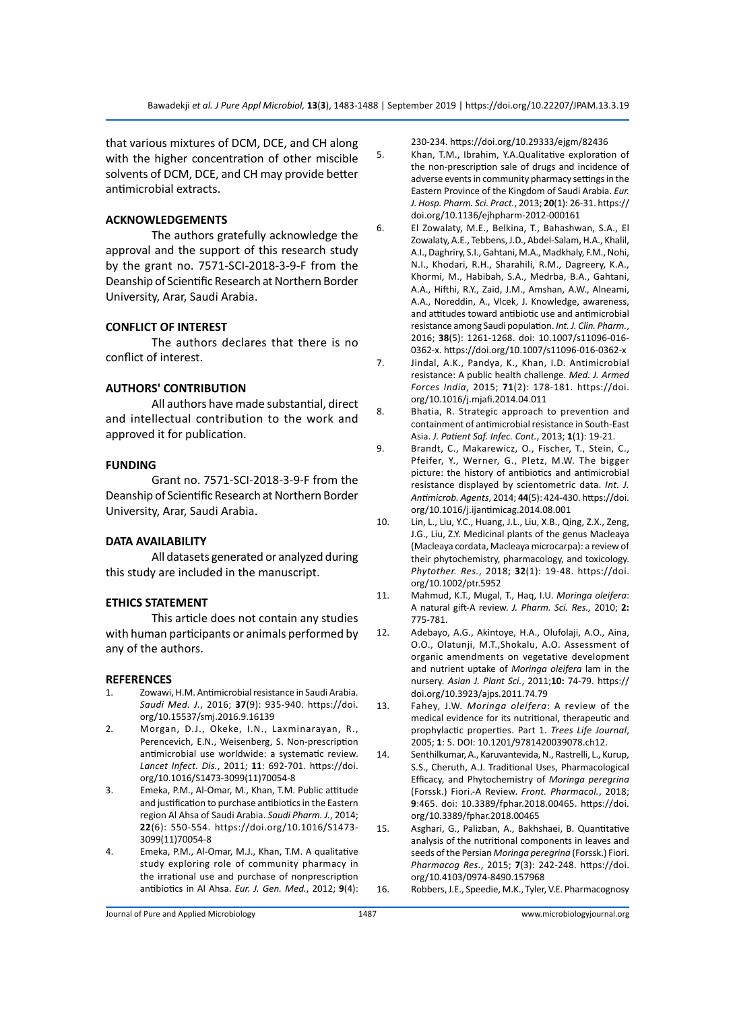that various mixtures of DCM, DCE, and CH along with the higher concentration of other miscible solvents of DCM, DCE, and CH may provide better antimicrobial extracts.

#### **ACKNOWLEDGEMENTS**

The authors gratefully acknowledge the approval and the support of this research study by the grant no. 7571-SCI-2018-3-9-F from the Deanship of Scientific Research at Northern Border University, Arar, Saudi Arabia.

#### **CONFLICT OF INTEREST**

The authors declares that there is no conflict of interest.

## **AUTHORS' CONTRIBUTION**

All authors have made substantial, direct and intellectual contribution to the work and approved it for publication.

#### **FUNDING**

Grant no. 7571-SCI-2018-3-9-F from the Deanship of Scientific Research at Northern Border University, Arar, Saudi Arabia.

#### **DATA AVAILABILITY**

All datasets generated or analyzed during this study are included in the manuscript.

#### **ETHICS STATEMENT**

This article does not contain any studies with human participants or animals performed by any of the authors.

#### **REFERENCES**

- 1. Zowawi, H.M. Antimicrobial resistance in Saudi Arabia. *Saudi Med. J.*, 2016; **37**(9): 935-940. https://doi. org/10.15537/smj.2016.9.16139
- 2. Morgan, D.J., Okeke, I.N., Laxminarayan, R., Perencevich, E.N., Weisenberg, S. Non-prescription antimicrobial use worldwide: a systematic review. *Lancet Infect. Dis.*, 2011; **11**: 692-701. https://doi. org/10.1016/S1473-3099(11)70054-8
- 3. Emeka, P.M., Al-Omar, M., Khan, T.M. Public attitude and justification to purchase antibiotics in the Eastern region Al Ahsa of Saudi Arabia. *Saudi Pharm. J.*, 2014; **22**(6): 550-554. https://doi.org/10.1016/S1473- 3099(11)70054-8
- 4. Emeka, P.M., Al-Omar, M.J., Khan, T.M. A qualitative study exploring role of community pharmacy in the irrational use and purchase of nonprescription antibiotics in Al Ahsa. *Eur. J. Gen. Med.*, 2012; **9**(4):

230-234. https://doi.org/10.29333/ejgm/82436

- 5. Khan, T.M., Ibrahim, Y.A.Qualitative exploration of the non-prescription sale of drugs and incidence of adverse events in community pharmacy settings in the Eastern Province of the Kingdom of Saudi Arabia. *Eur. J. Hosp. Pharm. Sci. Pract.*, 2013; **20**(1): 26-31. https:// doi.org/10.1136/ejhpharm-2012-000161
- 6. El Zowalaty, M.E., Belkina, T., Bahashwan, S.A., El Zowalaty, A.E., Tebbens, J.D., Abdel-Salam, H.A., Khalil, A.I., Daghriry, S.I., Gahtani, M.A., Madkhaly, F.M., Nohi, N.I., Khodari, R.H., Sharahili, R.M., Dagreery, K.A., Khormi, M., Habibah, S.A., Medrba, B.A., Gahtani, A.A., Hifthi, R.Y., Zaid, J.M., Amshan, A.W., Alneami, A.A., Noreddin, A., Vlcek, J. Knowledge, awareness, and attitudes toward antibiotic use and antimicrobial resistance among Saudi population. *Int. J. Clin. Pharm.*, 2016; **38**(5): 1261-1268. doi: 10.1007/s11096-016- 0362-x. https://doi.org/10.1007/s11096-016-0362-x
- 7. Jindal, A.K., Pandya, K., Khan, I.D. Antimicrobial resistance: A public health challenge. *Med. J. Armed Forces India*, 2015; **71**(2): 178-181. https://doi. org/10.1016/j.mjafi.2014.04.011
- 8. Bhatia, R. Strategic approach to prevention and containment of antimicrobial resistance in South-East Asia. *J. Patient Saf. Infec. Cont.*, 2013; **1**(1): 19-21.
- 9. Brandt, C., Makarewicz, O., Fischer, T., Stein, C., Pfeifer, Y., Werner, G., Pletz, M.W. The bigger picture: the history of antibiotics and antimicrobial resistance displayed by scientometric data. *Int. J. Antimicrob. Agents*, 2014; **44**(5): 424-430. https://doi. org/10.1016/j.ijantimicag.2014.08.001
- 10. Lin, L., Liu, Y.C., Huang, J.L., Liu, X.B., Qing, Z.X., Zeng, J.G., Liu, Z.Y. Medicinal plants of the genus Macleaya (Macleaya cordata, Macleaya microcarpa): a review of their phytochemistry, pharmacology, and toxicology. *Phytother. Res.*, 2018; **32**(1): 19-48. https://doi. org/10.1002/ptr.5952
- 11. Mahmud, K.T., Mugal, T., Haq, I.U. *Moringa oleifera*: A natural gift-A review. *J. Pharm. Sci. Res.,* 2010; **2:**  775-781.
- 12. Adebayo, A.G., Akintoye, H.A., Olufolaji, A.O., Aina, O.O., Olatunji, M.T.,Shokalu, A.O. Assessment of organic amendments on vegetative development and nutrient uptake of *Moringa oleifera* lam in the nursery. *Asian J. Plant Sci.*, 2011;**10:** 74-79. https:// doi.org/10.3923/ajps.2011.74.79
- 13. Fahey, J.W. *Moringa oleifera*: A review of the medical evidence for its nutritional, therapeutic and prophylactic properties. Part 1. *Trees Life Journal*, 2005; **1**: 5. DOI: 10.1201/9781420039078.ch12.
- 14. Senthilkumar, A., Karuvantevida, N., Rastrelli, L., Kurup, S.S., Cheruth, A.J. Traditional Uses, Pharmacological Efficacy, and Phytochemistry of *Moringa peregrina* (Forssk.) Fiori.-A Review. *Front. Pharmacol.*, 2018; **9**:465. doi: 10.3389/fphar.2018.00465. https://doi. org/10.3389/fphar.2018.00465
- 15. Asghari, G., Palizban, A., Bakhshaei, B. Quantitative analysis of the nutritional components in leaves and seeds of the Persian *Moringa peregrina* (Forssk.) Fiori. *Pharmacog Res*., 2015; **7**(3): 242-248. https://doi. org/10.4103/0974-8490.157968
- 16. Robbers, J.E., Speedie, M.K., Tyler, V.E. Pharmacognosy